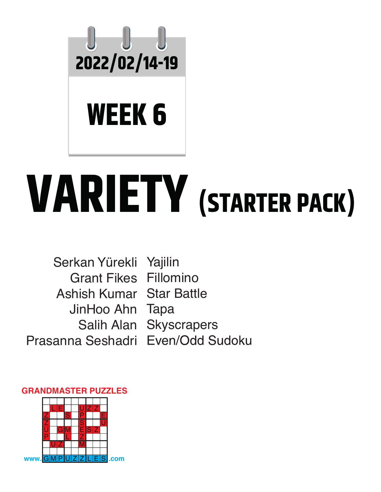

## **VARIETY (STARTER PACK)**

Serkan Yürekli Yajilin Grant Fikes Fillomino Ashish Kumar Star Battle JinHoo Ahn Tapa Salih Alan Skyscrapers Prasanna Seshadri Even/Odd Sudoku

## **GRANDMASTER PUZZLES**

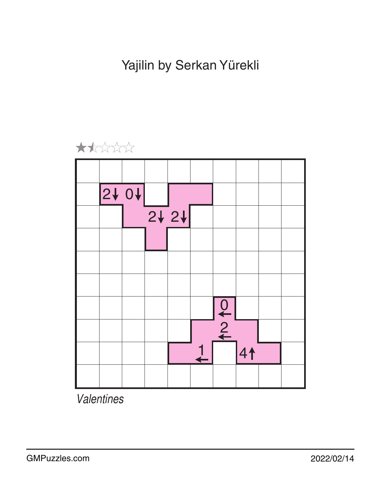Yajilin by Serkan Yürekli



*Valentines*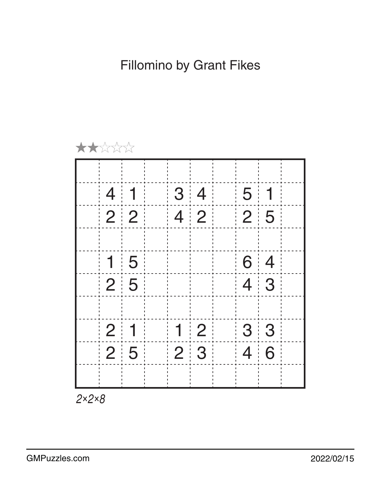

*2×2×8*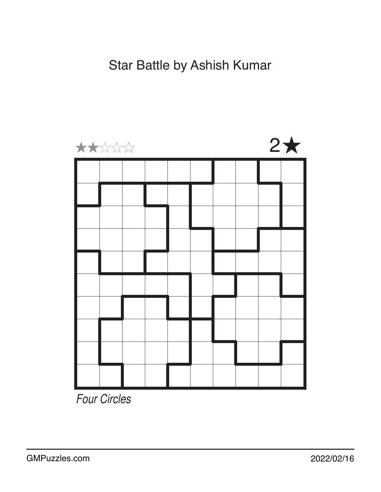## Star Battle by Ashish Kumar



*Four Circles*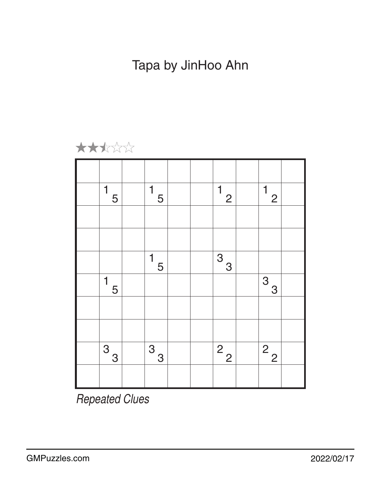Tapa by JinHoo Ahn



| 1<br>5                      | 1<br>5                                       |  | $\mathbf{1}$<br>$\overline{2}$ | $\mathbf{1}$<br>$\frac{2}{ }$ |  |
|-----------------------------|----------------------------------------------|--|--------------------------------|-------------------------------|--|
|                             |                                              |  |                                |                               |  |
|                             |                                              |  |                                |                               |  |
|                             | $\overline{1}_{\underline{5}^{\frac{1}{2}}}$ |  | $\sqrt{3}$<br>$\frac{3}{2}$    |                               |  |
| $\mathbf 1$<br>5            |                                              |  |                                | $\sqrt{3}$<br>$\frac{3}{2}$   |  |
|                             |                                              |  |                                |                               |  |
|                             |                                              |  |                                |                               |  |
| $\sqrt{3}$<br>$\frac{3}{2}$ | $\sqrt{3}$<br>$\frac{3}{2}$                  |  | $\sqrt{2}$<br>$\frac{2}{2}$    | $\sqrt{2}$<br>$\frac{2}{2}$   |  |
|                             |                                              |  |                                |                               |  |

*Repeated Clues*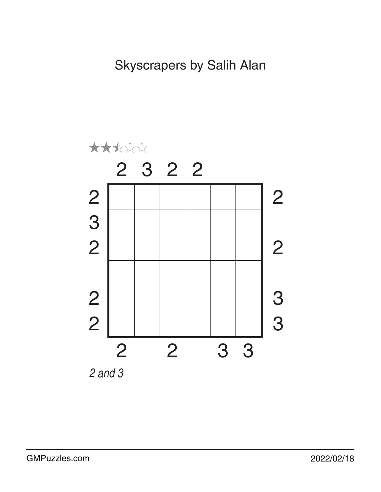